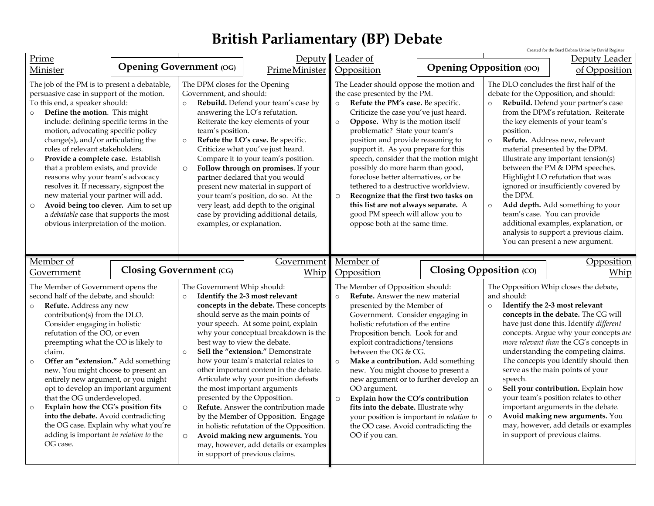## **British Parliamentary (BP) Debate**

|                                                                                                                                                                                                                                                                                                                                                                                                                                                                                                                                                                                                                                                                                        |  |                                                                                                                                                                                                                                                                                                                                                                                                                                                                                                                                                                                                                                                                                                                                                                                  |                    |                                                                                                                                                                                                                                                                                                                                                                                                                                                                                                                                                                                                                                                     |  |                                                                                                                                                                                                                                                                                                                                                                                                                                                                                                                                                                                                                                                                               | Created for the Bard Debate Union by David Register |
|----------------------------------------------------------------------------------------------------------------------------------------------------------------------------------------------------------------------------------------------------------------------------------------------------------------------------------------------------------------------------------------------------------------------------------------------------------------------------------------------------------------------------------------------------------------------------------------------------------------------------------------------------------------------------------------|--|----------------------------------------------------------------------------------------------------------------------------------------------------------------------------------------------------------------------------------------------------------------------------------------------------------------------------------------------------------------------------------------------------------------------------------------------------------------------------------------------------------------------------------------------------------------------------------------------------------------------------------------------------------------------------------------------------------------------------------------------------------------------------------|--------------------|-----------------------------------------------------------------------------------------------------------------------------------------------------------------------------------------------------------------------------------------------------------------------------------------------------------------------------------------------------------------------------------------------------------------------------------------------------------------------------------------------------------------------------------------------------------------------------------------------------------------------------------------------------|--|-------------------------------------------------------------------------------------------------------------------------------------------------------------------------------------------------------------------------------------------------------------------------------------------------------------------------------------------------------------------------------------------------------------------------------------------------------------------------------------------------------------------------------------------------------------------------------------------------------------------------------------------------------------------------------|-----------------------------------------------------|
| Prime                                                                                                                                                                                                                                                                                                                                                                                                                                                                                                                                                                                                                                                                                  |  |                                                                                                                                                                                                                                                                                                                                                                                                                                                                                                                                                                                                                                                                                                                                                                                  | Deputy             | Leader of                                                                                                                                                                                                                                                                                                                                                                                                                                                                                                                                                                                                                                           |  |                                                                                                                                                                                                                                                                                                                                                                                                                                                                                                                                                                                                                                                                               | Deputy Leader                                       |
| Minister                                                                                                                                                                                                                                                                                                                                                                                                                                                                                                                                                                                                                                                                               |  | <b>Opening Government (OG)</b>                                                                                                                                                                                                                                                                                                                                                                                                                                                                                                                                                                                                                                                                                                                                                   | Prime Minister     | Opposition                                                                                                                                                                                                                                                                                                                                                                                                                                                                                                                                                                                                                                          |  | <b>Opening Opposition (OO)</b>                                                                                                                                                                                                                                                                                                                                                                                                                                                                                                                                                                                                                                                | of Opposition                                       |
| The job of the PM is to present a debatable,<br>persuasive case in support of the motion.<br>To this end, a speaker should:<br>Define the motion. This might<br>$\circ$<br>include: defining specific terms in the<br>motion, advocating specific policy<br>change(s), and/or articulating the<br>roles of relevant stakeholders.<br>Provide a complete case. Establish<br>$\circ$<br>that a problem exists, and provide<br>reasons why your team's advocacy<br>resolves it. If necessary, signpost the<br>new material your partner will add.<br>Avoid being too clever. Aim to set up<br>$\circ$<br>a debatable case that supports the most<br>obvious interpretation of the motion. |  | The DPM closes for the Opening<br>Government, and should:<br>Rebuild. Defend your team's case by<br>$\circ$<br>answering the LO's refutation.<br>Reiterate the key elements of your<br>team's position.<br>Refute the LO's case. Be specific.<br>$\circ$<br>Criticize what you've just heard.<br>Compare it to your team's position.<br>Follow through on promises. If your<br>$\circ$<br>partner declared that you would<br>present new material in support of<br>your team's position, do so. At the<br>very least, add depth to the original<br>case by providing additional details,<br>examples, or explanation.                                                                                                                                                            |                    | The Leader should oppose the motion and<br>the case presented by the PM.<br>Refute the PM's case. Be specific.<br>Criticize the case you've just heard.<br>Oppose. Why is the motion itself<br>$\circ$<br>problematic? State your team's<br>position and provide reasoning to<br>support it. As you prepare for this<br>speech, consider that the motion might<br>possibly do more harm than good,<br>foreclose better alternatives, or be<br>tethered to a destructive worldview.<br>Recognize that the first two tasks on<br>$\circ$<br>this list are not always separate. A<br>good PM speech will allow you to<br>oppose both at the same time. |  | The DLO concludes the first half of the<br>debate for the Opposition, and should:<br>Rebuild. Defend your partner's case<br>$\circ$<br>from the DPM's refutation. Reiterate<br>the key elements of your team's<br>position.<br>Refute. Address new, relevant<br>$\circ$<br>material presented by the DPM.<br>Illustrate any important tension(s)<br>between the PM & DPM speeches.<br>Highlight LO refutation that was<br>ignored or insufficiently covered by<br>the DPM.<br>Add depth. Add something to your<br>$\circ$<br>team's case. You can provide<br>additional examples, explanation, or<br>analysis to support a previous claim.<br>You can present a new argument. |                                                     |
| Member of<br>Government                                                                                                                                                                                                                                                                                                                                                                                                                                                                                                                                                                                                                                                                |  | <b>Closing Government</b> (CG)                                                                                                                                                                                                                                                                                                                                                                                                                                                                                                                                                                                                                                                                                                                                                   | Government<br>Whip | Member of<br>Opposition                                                                                                                                                                                                                                                                                                                                                                                                                                                                                                                                                                                                                             |  | Closing Opposition (CO)                                                                                                                                                                                                                                                                                                                                                                                                                                                                                                                                                                                                                                                       | Opposition<br>Whip                                  |
| The Member of Government opens the<br>second half of the debate, and should:<br>Refute. Address any new<br>$\circ$<br>contribution(s) from the DLO.<br>Consider engaging in holistic<br>refutation of the OO, or even<br>preempting what the CO is likely to<br>claim.<br>Offer an "extension." Add something<br>$\circ$<br>new. You might choose to present an<br>entirely new argument, or you might<br>opt to develop an important argument<br>that the OG underdeveloped.<br>Explain how the CG's position fits<br>$\circ$<br>into the debate. Avoid contradicting<br>the OG case. Explain why what you're<br>adding is important in relation to the<br>OG case.                   |  | The Government Whip should:<br>Identify the 2-3 most relevant<br>$\circ$<br>concepts in the debate. These concepts<br>should serve as the main points of<br>your speech. At some point, explain<br>why your conceptual breakdown is the<br>best way to view the debate.<br>Sell the "extension." Demonstrate<br>$\circ$<br>how your team's material relates to<br>other important content in the debate.<br>Articulate why your position defeats<br>the most important arguments<br>presented by the Opposition.<br>Refute. Answer the contribution made<br>$\circ$<br>by the Member of Opposition. Engage<br>in holistic refutation of the Opposition.<br>Avoid making new arguments. You<br>$\circ$<br>may, however, add details or examples<br>in support of previous claims. |                    | The Member of Opposition should:<br>Refute. Answer the new material<br>presented by the Member of<br>Government. Consider engaging in<br>holistic refutation of the entire<br>Proposition bench. Look for and<br>exploit contradictions/tensions<br>between the OG & CG.<br>Make a contribution. Add something<br>$\circ$<br>new. You might choose to present a<br>new argument or to further develop an<br>OO argument.<br>Explain how the CO's contribution<br>$\circ$<br>fits into the debate. Illustrate why<br>your position is important in relation to<br>the OO case. Avoid contradicting the<br>OO if you can.                             |  | The Opposition Whip closes the debate,<br>and should:<br>Identify the 2-3 most relevant<br>$\circ$<br>concepts in the debate. The CG will<br>have just done this. Identify different<br>concepts. Argue why your concepts are<br>more relevant than the CG's concepts in<br>understanding the competing claims.<br>The concepts you identify should then<br>serve as the main points of your<br>speech.<br>Sell your contribution. Explain how<br>$\circ$<br>your team's position relates to other<br>important arguments in the debate.<br>Avoid making new arguments. You<br>$\circ$<br>may, however, add details or examples<br>in support of previous claims.             |                                                     |